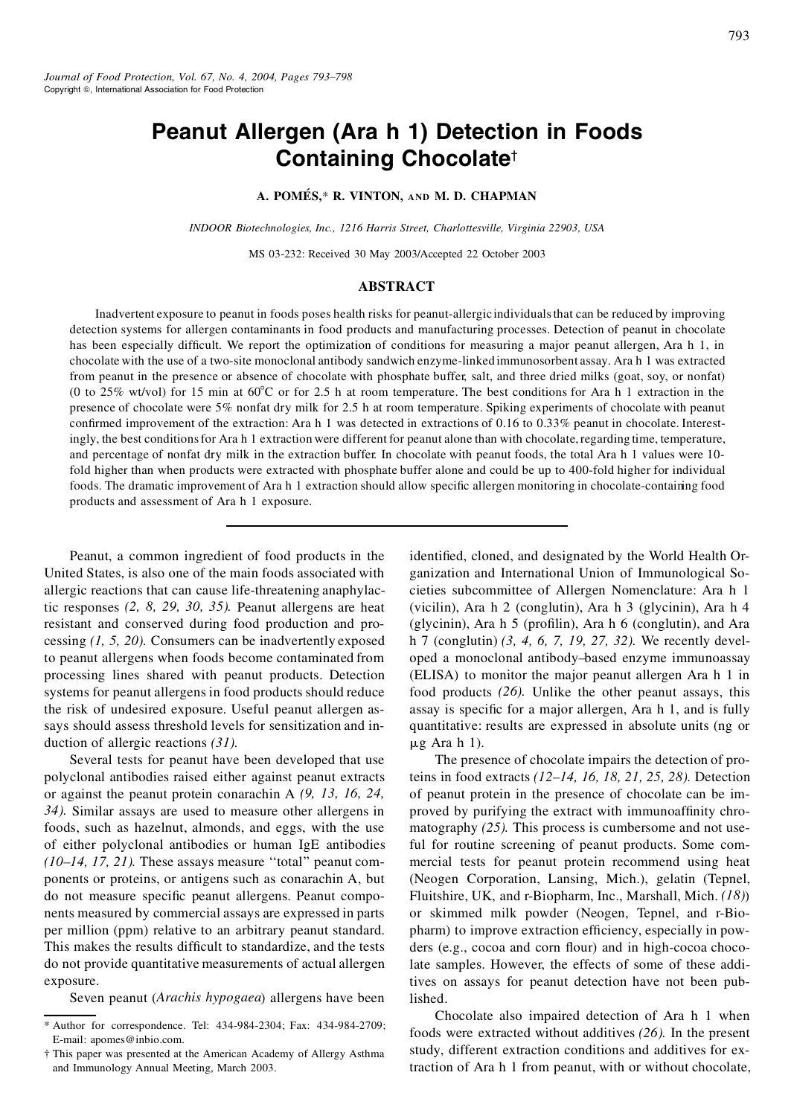# **Peanut Allergen (Ara h 1) Detection in Foods Containing Chocolate**†

## **A. POME´ S,**\* **R. VINTON, AND M. D. CHAPMAN**

*INDOOR Biotechnologies, Inc., 1216 Harris Street, Charlottesville, Virginia 22903, USA*

MS 03-232: Received 30 May 2003/Accepted 22 October 2003

#### **ABSTRACT**

Inadvertent exposure to peanut in foods poses health risks for peanut-allergicindividualsthat can be reduced by improving detection systems for allergen contaminants in food products and manufacturing processes. Detection of peanut in chocolate has been especially difficult. We report the optimization of conditions for measuring a major peanut allergen, Ara h 1, in chocolate with the use of a two-site monoclonal antibody sandwich enzyme-linked immunosorbent assay. Ara h 1 was extracted from peanut in the presence or absence of chocolate with phosphate buffer, salt, and three dried milks (goat, soy, or nonfat) (0 to 25% wt/vol) for 15 min at  $60^{\circ}$ C or for 2.5 h at room temperature. The best conditions for Ara h 1 extraction in the presence of chocolate were 5% nonfat dry milk for 2.5 h at room temperature. Spiking experiments of chocolate with peanut confirmed improvement of the extraction: Ara h 1 was detected in extractions of 0.16 to  $0.33\%$  peanut in chocolate. Interestingly, the best conditions for Ara h 1 extraction were different for peanut alone than with chocolate, regarding time, temperature, and percentage of nonfat dry milk in the extraction buffer. In chocolate with peanut foods, the total Ara h 1 values were 10 fold higher than when products were extracted with phosphate buffer alone and could be up to 400-fold higher for individual foods. The dramatic improvement of Ara h 1 extraction should allow specific allergen monitoring in chocolate-containing food products and assessment of Ara h 1 exposure.

Peanut, a common ingredient of food products in the United States, is also one of the main foods associated with allergic reactions that can cause life-threatening anaphylactic responses *(2, 8, 29, 30, 35).* Peanut allergens are heat resistant and conserved during food production and processing *(1, 5, 20).* Consumers can be inadvertently exposed to peanut allergens when foods become contaminated from processing lines shared with peanut products. Detection systems for peanut allergens in food products should reduce the risk of undesired exposure. Useful peanut allergen assays should assess threshold levels for sensitization and induction of allergic reactions *(31).*

Several tests for peanut have been developed that use polyclonal antibodies raised either against peanut extracts or against the peanut protein conarachin A *(9, 13, 16, 24, 34).* Similar assays are used to measure other allergens in foods, such as hazelnut, almonds, and eggs, with the use of either polyclonal antibodies or human IgE antibodies *(10–14, 17, 21).* These assays measure ''total'' peanut components or proteins, or antigens such as conarachin A, but do not measure specific peanut allergens. Peanut components measured by commercial assays are expressed in parts per million (ppm) relative to an arbitrary peanut standard. This makes the results difficult to standardize, and the tests do not provide quantitative measurements of actual allergen exposure.

Seven peanut (*Arachis hypogaea*) allergens have been

identified, cloned, and designated by the World Health Organization and International Union of Immunological Societies subcommittee of Allergen Nomenclature: Ara h 1 (vicilin), Ara h 2 (conglutin), Ara h 3 (glycinin), Ara h 4 (glycinin), Ara h 5 (profilin), Ara h 6 (conglutin), and Ara h 7 (conglutin) *(3, 4, 6, 7, 19, 27, 32).* We recently developed a monoclonal antibody–based enzyme immunoassay (ELISA) to monitor the major peanut allergen Ara h 1 in food products *(26).* Unlike the other peanut assays, this assay is specific for a major allergen, Ara h 1, and is fully quantitative: results are expressed in absolute units (ng or  $\mu$ g Ara h 1).

The presence of chocolate impairs the detection of proteins in food extracts *(12–14, 16, 18, 21, 25, 28).* Detection of peanut protein in the presence of chocolate can be improved by purifying the extract with immunoaffinity chromatography (25). This process is cumbersome and not useful for routine screening of peanut products. Some commercial tests for peanut protein recommend using heat (Neogen Corporation, Lansing, Mich.), gelatin (Tepnel, Fluitshire, UK, and r-Biopharm, Inc., Marshall, Mich. *(18)*) or skimmed milk powder (Neogen, Tepnel, and r-Biopharm) to improve extraction efficiency, especially in powders (e.g., cocoa and corn flour) and in high-cocoa chocolate samples. However, the effects of some of these additives on assays for peanut detection have not been published.

Chocolate also impaired detection of Ara h 1 when foods were extracted without additives *(26).* In the present study, different extraction conditions and additives for extraction of Ara h 1 from peanut, with or without chocolate,

<sup>\*</sup> Author for correspondence. Tel: 434-984-2304; Fax: 434-984-2709; E-mail: apomes@inbio.com.

<sup>†</sup> This paper was presented at the American Academy of Allergy Asthma and Immunology Annual Meeting, March 2003.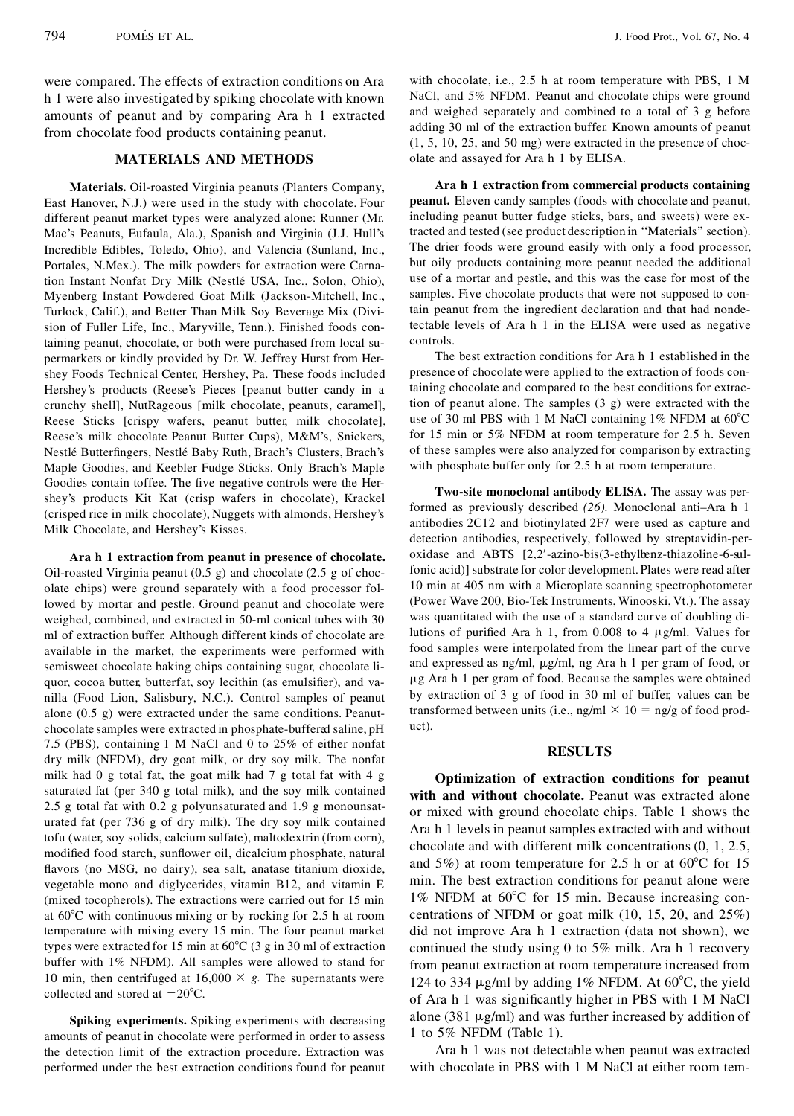were compared. The effects of extraction conditions on Ara h 1 were also investigated by spiking chocolate with known amounts of peanut and by comparing Ara h 1 extracted from chocolate food products containing peanut.

### **MATERIALS AND METHODS**

**Materials.** Oil-roasted Virginia peanuts (Planters Company, East Hanover, N.J.) were used in the study with chocolate. Four different peanut market types were analyzed alone: Runner (Mr. Mac's Peanuts, Eufaula, Ala.), Spanish and Virginia (J.J. Hull's Incredible Edibles, Toledo, Ohio), and Valencia (Sunland, Inc., Portales, N.Mex.). The milk powders for extraction were Carnation Instant Nonfat Dry Milk (Nestle´ USA, Inc., Solon, Ohio), Myenberg Instant Powdered Goat Milk (Jackson-Mitchell, Inc., Turlock, Calif.), and Better Than Milk Soy Beverage Mix (Division of Fuller Life, Inc., Maryville, Tenn.). Finished foods containing peanut, chocolate, or both were purchased from local su permarkets or kindly provided by Dr. W. Jeffrey Hurst from Hershey Foods Technical Center, Hershey, Pa. These foods included Hershey's products (Reese's Pieces [peanut butter candy in a crunchy shell], NutRageous [milk chocolate, peanuts, caramel], Reese Sticks [crispy wafers, peanut butter, milk chocolate], Reese's milk chocolate Peanut Butter Cups), M&M's, Snickers, Nestlé Butterfingers, Nestlé Baby Ruth, Brach's Clusters, Brach's Maple Goodies, and Keebler Fudge Sticks. Only Brach's Maple Goodies contain toffee. The five negative controls were the Hershey's products Kit Kat (crisp wafers in chocolate), Krackel (crisped rice in milk chocolate), Nuggets with almonds, Hershey's Milk Chocolate, and Hershey's Kisses.

**Ara h 1 extraction from peanut in presence of chocolate.** Oil-roasted Virginia peanut (0.5 g) and chocolate (2.5 g of chocolate chips) were ground separately with a food processor followed by mortar and pestle. Ground peanut and chocolate were weighed, combined, and extracted in 50-ml conical tubes with 30 ml of extraction buffer. Although different kinds of chocolate are available in the market, the experiments were performed with semisweet chocolate baking chips containing sugar, chocolate liquor, cocoa butter, butterfat, soy lecithin (as emulsifier), and vanilla (Food Lion, Salisbury, N.C.). Control samples of peanut alone (0.5 g) were extracted under the same conditions. Peanutchocolate samples were extracted in phosphate-buffered saline, pH 7.5 (PBS), containing 1 M NaCl and 0 to 25% of either nonfat dry milk (NFDM), dry goat milk, or dry soy milk. The nonfat milk had 0 g total fat, the goat milk had 7 g total fat with 4 g saturated fat (per 340 g total milk), and the soy milk contained 2.5 g total fat with 0.2 g polyunsaturated and 1.9 g monounsaturated fat (per 736 g of dry milk). The dry soy milk contained tofu (water, soy solids, calcium sulfate), maltodextrin (from corn), modified food starch, sunflower oil, dicalcium phosphate, natural avors (no MSG, no dairy), sea salt, anatase titanium dioxide, vegetable mono and diglycerides, vitamin B12, and vitamin E (mixed tocopherols). The extractions were carried out for 15 min at  $60^{\circ}$ C with continuous mixing or by rocking for 2.5 h at room temperature with mixing every 15 min. The four peanut market types were extracted for 15 min at  $60^{\circ}$ C (3 g in 30 ml of extraction buffer with 1% NFDM). All samples were allowed to stand for 10 min, then centrifuged at  $16,000 \times g$ . The supernatants were collected and stored at  $-20^{\circ}$ C.

**Spiking experiments.** Spiking experiments with decreasing amounts of peanut in chocolate were performed in order to assess the detection limit of the extraction procedure. Extraction was performed under the best extraction conditions found for peanut with chocolate, i.e., 2.5 h at room temperature with PBS, 1 M NaCl, and 5% NFDM. Peanut and chocolate chips were ground and weighed separately and combined to a total of 3 g before adding 30 ml of the extraction buffer. Known amounts of peanut (1, 5, 10, 25, and 50 mg) were extracted in the presence of chocolate and assayed for Ara h 1 by ELISA.

**Ara h 1 extraction from commercial products containing peanut.** Eleven candy samples (foods with chocolate and peanut, including peanut butter fudge sticks, bars, and sweets) were extracted and tested (see product description in ''Materials'' section). The drier foods were ground easily with only a food processor, but oily products containing more peanut needed the additional use of a mortar and pestle, and this was the case for most of the samples. Five chocolate products that were not supposed to contain peanut from the ingredient declaration and that had nondetectable levels of Ara h 1 in the ELISA were used as negative controls.

The best extraction conditions for Ara h 1 established in the presence of chocolate were applied to the extraction of foods containing chocolate and compared to the best conditions for extraction of peanut alone. The samples (3 g) were extracted with the use of 30 ml PBS with 1 M NaCl containing  $1\%$  NFDM at  $60^{\circ}$ C for 15 min or 5% NFDM at room temperature for 2.5 h. Seven of these samples were also analyzed for comparison by extracting with phosphate buffer only for 2.5 h at room temperature.

**Two-site monoclonal antibody ELISA.** The assay was performed as previously described *(26).* Monoclonal anti–Ara h 1 antibodies 2C12 and biotinylated 2F7 were used as capture and detection antibodies, respectively, followed by streptavidin-peroxidase and ABTS  $[2,2'-azino-bis(3-ethylbenz-thiazoline-6-sul$ fonic acid)] substrate for color development. Plates were read after 10 min at 405 nm with a Microplate scanning spectrophotometer (Power Wave 200, Bio-Tek Instruments, Winooski, Vt.). The assay was quantitated with the use of a standard curve of doubling dilutions of purified Ara h 1, from  $0.008$  to 4  $\mu$ g/ml. Values for food samples were interpolated from the linear part of the curve and expressed as ng/ml, mg/ml, ng Ara h 1 per gram of food, or mg Ara h 1 per gram of food. Because the samples were obtained by extraction of 3 g of food in 30 ml of buffer, values can be transformed between units (i.e., ng/ml  $\times$  10 = ng/g of food product).

#### **RESULTS**

**Optimization of extraction conditions for peanut with and without chocolate.** Peanut was extracted alone or mixed with ground chocolate chips. Table 1 shows the Ara h 1 levels in peanut samples extracted with and without chocolate and with different milk concentrations (0, 1, 2.5, and 5%) at room temperature for 2.5 h or at  $60^{\circ}$ C for 15 min. The best extraction conditions for peanut alone were  $1\%$  NFDM at  $60^{\circ}$ C for 15 min. Because increasing concentrations of NFDM or goat milk (10, 15, 20, and 25%) did not improve Ara h 1 extraction (data not shown), we continued the study using 0 to 5% milk. Ara h 1 recovery from peanut extraction at room temperature increased from 124 to 334  $\mu$ g/ml by adding 1% NFDM. At 60°C, the yield of Ara h 1 was significantly higher in PBS with 1 M NaCl alone (381  $\mu$ g/ml) and was further increased by addition of 1 to 5% NFDM (Table 1).

Ara h 1 was not detectable when peanut was extracted with chocolate in PBS with 1 M NaCl at either room tem-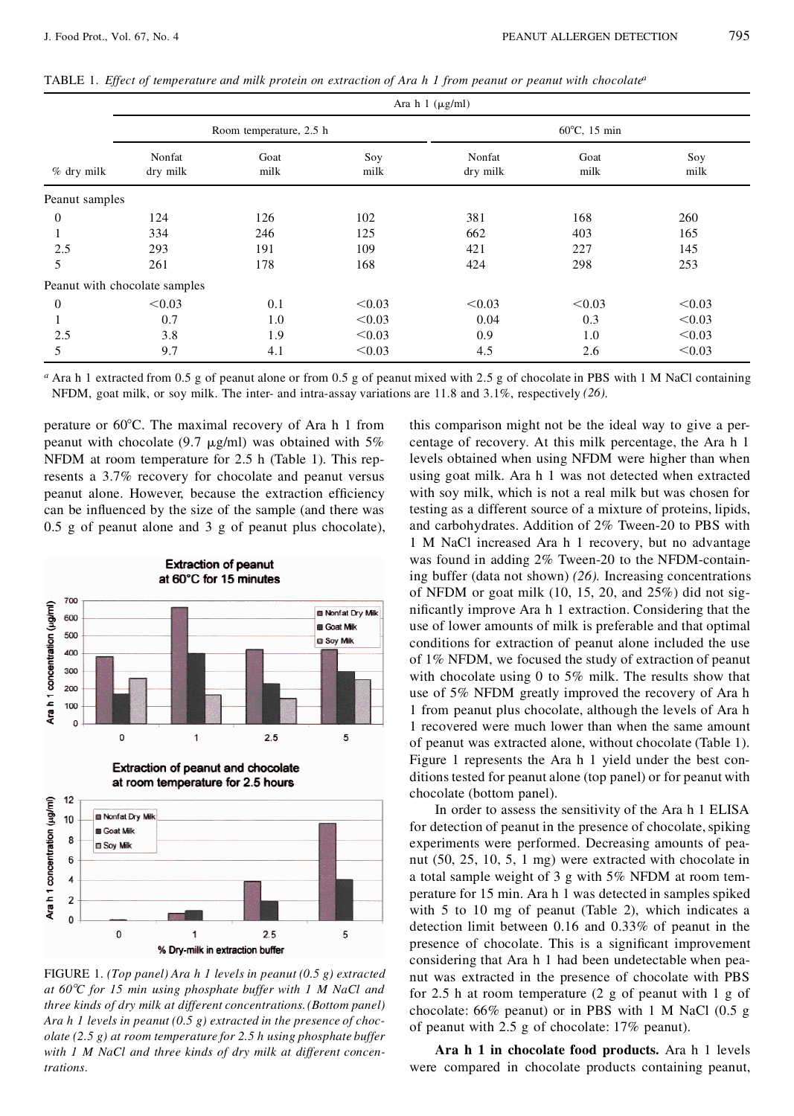TABLE 1. Effect of temperature and milk protein on extraction of Ara h 1 from peanut or peanut with chocolate<sup>a</sup>

| $%$ dry milk     | Ara $h \ 1 \ (\mu g/ml)$      |              |             |                        |              |             |
|------------------|-------------------------------|--------------|-------------|------------------------|--------------|-------------|
|                  | Room temperature, 2.5 h       |              |             | $60^{\circ}$ C, 15 min |              |             |
|                  | Nonfat<br>dry milk            | Goat<br>milk | Soy<br>milk | Nonfat<br>dry milk     | Goat<br>milk | Soy<br>milk |
| Peanut samples   |                               |              |             |                        |              |             |
| $\boldsymbol{0}$ | 124                           | 126          | 102         | 381                    | 168          | 260         |
|                  | 334                           | 246          | 125         | 662                    | 403          | 165         |
| 2.5              | 293                           | 191          | 109         | 421                    | 227          | 145         |
| 5                | 261                           | 178          | 168         | 424                    | 298          | 253         |
|                  | Peanut with chocolate samples |              |             |                        |              |             |
| $\theta$         | < 0.03                        | 0.1          | < 0.03      | < 0.03                 | < 0.03       | < 0.03      |
|                  | 0.7                           | 1.0          | < 0.03      | 0.04                   | 0.3          | < 0.03      |
| 2.5              | 3.8                           | 1.9          | < 0.03      | 0.9                    | 1.0          | < 0.03      |
| 5                | 9.7                           | 4.1          | < 0.03      | 4.5                    | 2.6          | < 0.03      |

*<sup>a</sup>* Ara h 1 extracted from 0.5 g of peanut alone or from 0.5 g of peanut mixed with 2.5 g of chocolate in PBS with 1 M NaCl containing NFDM, goat milk, or soy milk. The inter- and intra-assay variations are 11.8 and 3.1%, respectively *(26)*.

perature or  $60^{\circ}$ C. The maximal recovery of Ara h 1 from peanut with chocolate (9.7  $\mu$ g/ml) was obtained with 5% NFDM at room temperature for 2.5 h (Table 1). This represents a 3.7% recovery for chocolate and peanut versus peanut alone. However, because the extraction efficiency can be influenced by the size of the sample (and there was 0.5 g of peanut alone and 3 g of peanut plus chocolate),



FIGURE 1.*(Top panel) Ara h 1 levels in peanut (0.5 g) extracted at 608C for 15 min using phosphate buffer with 1 M NaCl and three kinds of dry milk at different concentrations.(Bottom panel) Ara h 1 levels in peanut (0.5 g) extracted in the presence of chocolate (2.5 g) at room temperature for 2.5 h using phosphate buffer with 1 M NaCl and three kinds of dry milk at different concentrations.*

this comparison might not be the ideal way to give a percentage of recovery. At this milk percentage, the Ara h 1 levels obtained when using NFDM were higher than when using goat milk. Ara h 1 was not detected when extracted with soy milk, which is not a real milk but was chosen for testing as a different source of a mixture of proteins, lipids, and carbohydrates. Addition of 2% Tween-20 to PBS with 1 M NaCl increased Ara h 1 recovery, but no advantage was found in adding 2% Tween-20 to the NFDM-containing buffer (data not shown) *(26).* Increasing concentrations of NFDM or goat milk (10, 15, 20, and 25%) did not significantly improve Ara h 1 extraction. Considering that the use of lower amounts of milk is preferable and that optimal conditions for extraction of peanut alone included the use of 1% NFDM, we focused the study of extraction of peanut with chocolate using 0 to 5% milk. The results show that use of 5% NFDM greatly improved the recovery of Ara h 1 from peanut plus chocolate, although the levels of Ara h 1 recovered were much lower than when the same amount of peanut was extracted alone, without chocolate (Table 1). Figure 1 represents the Ara h 1 yield under the best conditions tested for peanut alone (top panel) or for peanut with chocolate (bottom panel).

In order to assess the sensitivity of the Ara h 1 ELISA for detection of peanut in the presence of chocolate, spiking experiments were performed. Decreasing amounts of peanut (50, 25, 10, 5, 1 mg) were extracted with chocolate in a total sample weight of 3 g with 5% NFDM at room temperature for 15 min. Ara h 1 was detected in samples spiked with 5 to 10 mg of peanut (Table 2), which indicates a detection limit between 0.16 and 0.33% of peanut in the presence of chocolate. This is a significant improvement considering that Ara h 1 had been undetectable when peanut was extracted in the presence of chocolate with PBS for 2.5 h at room temperature (2 g of peanut with 1 g of chocolate: 66% peanut) or in PBS with 1 M NaCl (0.5 g of peanut with 2.5 g of chocolate: 17% peanut).

**Ara h 1 in chocolate food products.** Ara h 1 levels were compared in chocolate products containing peanut,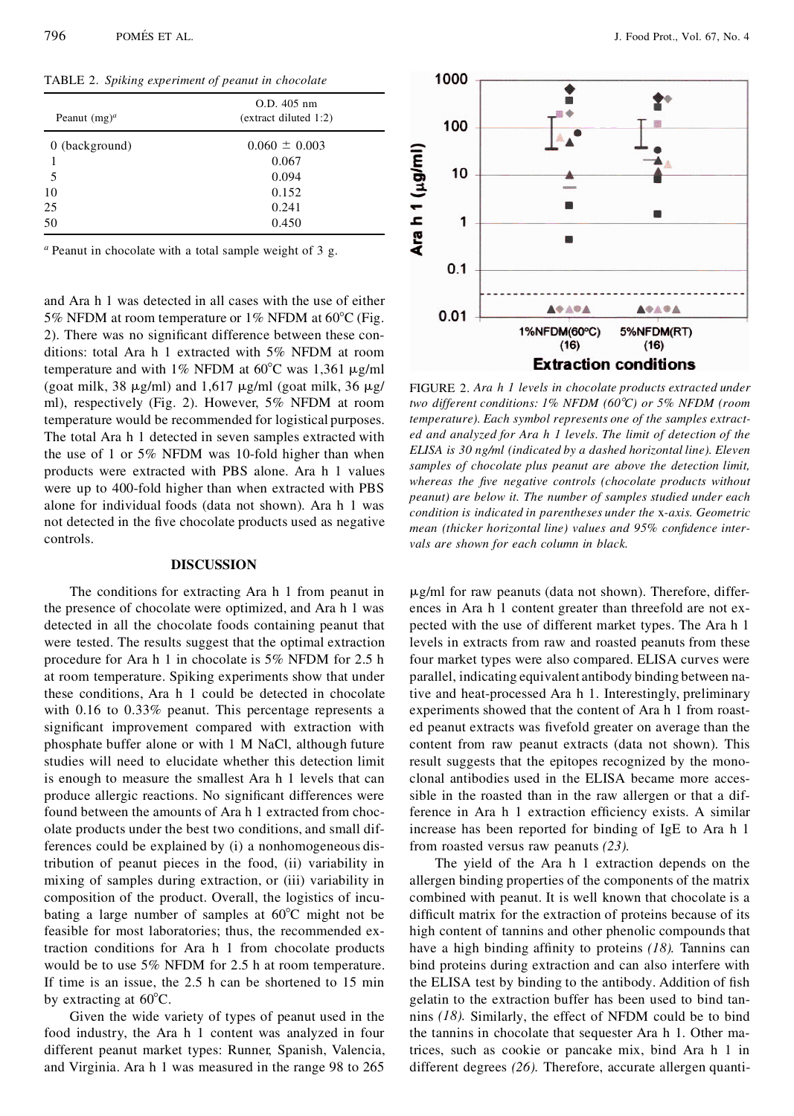TABLE 2.*Spiking experiment of peanut in chocolate*

| Peanut $(mg)^a$  | O.D. 405 nm<br>$ext{R}$ (extract diluted 1:2) |  |  |
|------------------|-----------------------------------------------|--|--|
| $0$ (background) | $0.060 \pm 0.003$                             |  |  |
| 1                | 0.067                                         |  |  |
| 5                | 0.094                                         |  |  |
| 10               | 0.152                                         |  |  |
| 25               | 0.241                                         |  |  |
| 50               | 0.450                                         |  |  |

*<sup>a</sup>* Peanut in chocolate with a total sample weight of 3 g.

and Ara h 1 was detected in all cases with the use of either 5% NFDM at room temperature or 1% NFDM at  $60^{\circ}$ C (Fig. 2). There was no significant difference between these conditions: total Ara h 1 extracted with 5% NFDM at room temperature and with 1% NFDM at  $60^{\circ}$ C was 1,361  $\mu$ g/ml (goat milk, 38  $\mu$ g/ml) and 1,617  $\mu$ g/ml (goat milk, 36  $\mu$ g/ ml), respectively (Fig. 2). However, 5% NFDM at room temperature would be recommended for logistical purposes. The total Ara h 1 detected in seven samples extracted with the use of 1 or 5% NFDM was 10-fold higher than when products were extracted with PBS alone. Ara h 1 values were up to 400-fold higher than when extracted with PBS alone for individual foods (data not shown). Ara h 1 was not detected in the five chocolate products used as negative controls.

#### **DISCUSSION**

The conditions for extracting Ara h 1 from peanut in the presence of chocolate were optimized, and Ara h 1 was detected in all the chocolate foods containing peanut that were tested. The results suggest that the optimal extraction procedure for Ara h 1 in chocolate is 5% NFDM for 2.5 h at room temperature. Spiking experiments show that under these conditions, Ara h 1 could be detected in chocolate with 0.16 to 0.33% peanut. This percentage represents a significant improvement compared with extraction with phosphate buffer alone or with 1 M NaCl, although future studies will need to elucidate whether this detection limit is enough to measure the smallest Ara h 1 levels that can produce allergic reactions. No significant differences were found between the amounts of Ara h 1 extracted from chocolate products under the best two conditions, and small differences could be explained by (i) a nonhomogeneous distribution of peanut pieces in the food, (ii) variability in mixing of samples during extraction, or (iii) variability in composition of the product. Overall, the logistics of incubating a large number of samples at  $60^{\circ}$ C might not be feasible for most laboratories; thus, the recommended extraction conditions for Ara h 1 from chocolate products would be to use 5% NFDM for 2.5 h at room temperature. If time is an issue, the 2.5 h can be shortened to 15 min by extracting at  $60^{\circ}$ C.

Given the wide variety of types of peanut used in the food industry, the Ara h 1 content was analyzed in four different peanut market types: Runner, Spanish, Valencia, and Virginia. Ara h 1 was measured in the range 98 to 265



FIGURE 2. *Ara h 1 levels in chocolate products extracted under two different conditions: 1% NFDM (608C) or 5% NFDM (room temperature). Each symbol represents one of the samples extracted and analyzed for Ara h 1 levels. The limit of detection of the ELISA is 30 ng/ml (indicated by a dashed horizontal line). Eleven samples of chocolate plus peanut are above the detection limit, whereas* the five negative controls (chocolate products without *peanut) are below it. The number of samples studied under each condition is indicated in parentheses under the* x*-axis. Geometric mean (thicker horizontal line) values and* 95% *confidence intervals are shown for each column in black.*

 $\mu$ g/ml for raw peanuts (data not shown). Therefore, differences in Ara h 1 content greater than threefold are not expected with the use of different market types. The Ara h 1 levels in extracts from raw and roasted peanuts from these four market types were also compared. ELISA curves were parallel, indicating equivalent antibody binding between native and heat-processed Ara h 1. Interestingly, preliminary experiments showed that the content of Ara h 1 from roasted peanut extracts was fivefold greater on average than the content from raw peanut extracts (data not shown). This result suggests that the epitopes recognized by the monoclonal antibodies used in the ELISA became more accessible in the roasted than in the raw allergen or that a difference in Ara h 1 extraction efficiency exists. A similar increase has been reported for binding of IgE to Ara h 1 from roasted versus raw peanuts *(23).*

The yield of the Ara h 1 extraction depends on the allergen binding properties of the components of the matrix combined with peanut. It is well known that chocolate is a difficult matrix for the extraction of proteins because of its high content of tannins and other phenolic compounds that have a high binding affinity to proteins *(18)*. Tannins can bind proteins during extraction and can also interfere with the ELISA test by binding to the antibody. Addition of fish gelatin to the extraction buffer has been used to bind tannins *(18).* Similarly, the effect of NFDM could be to bind the tannins in chocolate that sequester Ara h 1. Other matrices, such as cookie or pancake mix, bind Ara h 1 in different degrees *(26).* Therefore, accurate allergen quanti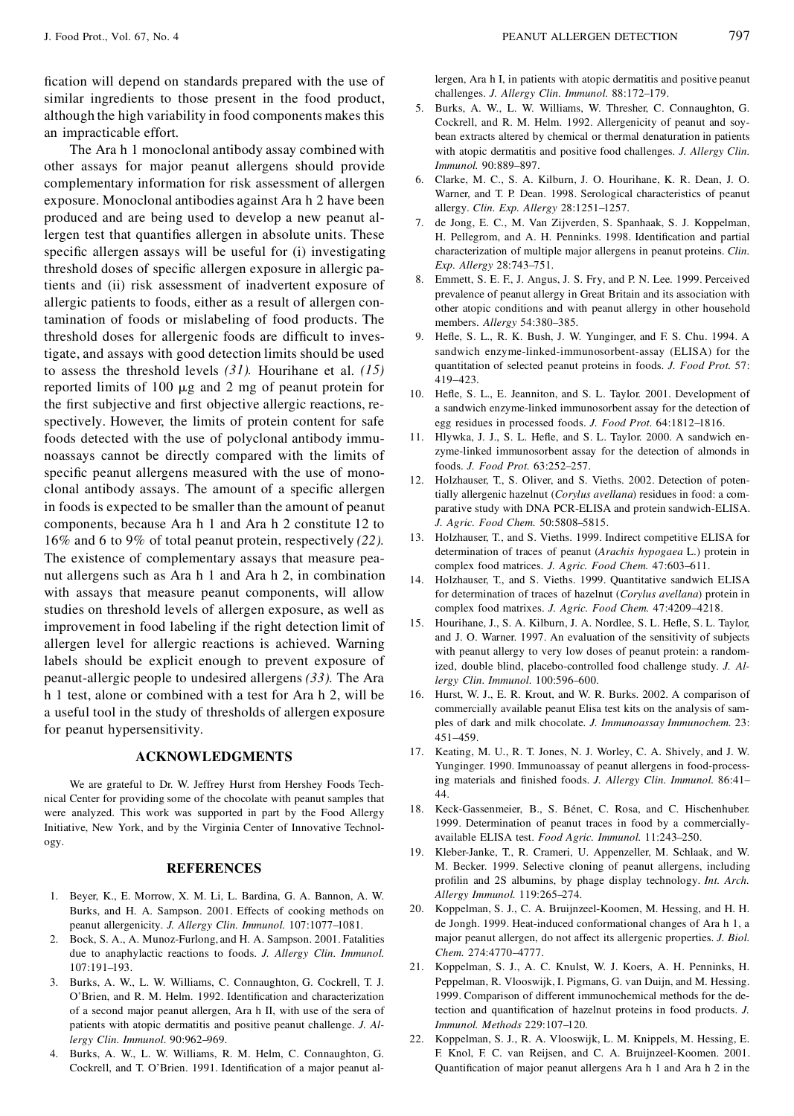fication will depend on standards prepared with the use of similar ingredients to those present in the food product, although the high variability in food components makes this an impracticable effort.

The Ara h 1 monoclonal antibody assay combined with other assays for major peanut allergens should provide complementary information for risk assessment of allergen exposure. Monoclonal antibodies against Ara h 2 have been produced and are being used to develop a new peanut allergen test that quantifies allergen in absolute units. These specific allergen assays will be useful for (i) investigating threshold doses of specific allergen exposure in allergic patients and (ii) risk assessment of inadvertent exposure of allergic patients to foods, either as a result of allergen contamination of foods or mislabeling of food products. The threshold doses for allergenic foods are difficult to investigate, and assays with good detection limits should be used to assess the threshold levels *(31).* Hourihane et al. *(15)* reported limits of 100  $\mu$ g and 2 mg of peanut protein for the first subjective and first objective allergic reactions, respectively. However, the limits of protein content for safe foods detected with the use of polyclonal antibody immunoassays cannot be directly compared with the limits of specific peanut allergens measured with the use of monoclonal antibody assays. The amount of a specific allergen in foods is expected to be smaller than the amount of peanut components, because Ara h 1 and Ara h 2 constitute 12 to 16% and 6 to 9% of total peanut protein, respectively *(22).* The existence of complementary assays that measure peanut allergens such as Ara h 1 and Ara h 2, in combination with assays that measure peanut components, will allow studies on threshold levels of allergen exposure, as well as improvement in food labeling if the right detection limit of allergen level for allergic reactions is achieved. Warning labels should be explicit enough to prevent exposure of peanut-allergic people to undesired allergens *(33).* The Ara h 1 test, alone or combined with a test for Ara h 2, will be a useful tool in the study of thresholds of allergen exposure for peanut hypersensitivity.

## **ACKNOWLEDGMENTS**

We are grateful to Dr. W. Jeffrey Hurst from Hershey Foods Technical Center for providing some of the chocolate with peanut samples that were analyzed. This work was supported in part by the Food Allergy Initiative, New York, and by the Virginia Center of Innovative Technology.

#### **REFERENCES**

- 1. Beyer, K., E. Morrow, X. M. Li, L. Bardina, G. A. Bannon, A. W. Burks, and H. A. Sampson. 2001. Effects of cooking methods on peanut allergenicity. *J. Allergy Clin. Immunol.* 107:1077–1081.
- 2. Bock, S. A., A. Munoz-Furlong, and H. A. Sampson. 2001. Fatalities due to anaphylactic reactions to foods. *J. Allergy Clin. Immunol.* 107:191–193.
- 3. Burks, A. W., L. W. Williams, C. Connaughton, G. Cockrell, T. J. O'Brien, and R. M. Helm. 1992. Identification and characterization of a second major peanut allergen, Ara h II, with use of the sera of patients with atopic dermatitis and positive peanut challenge. *J. Allergy Clin. Immunol.* 90:962–969.
- 4. Burks, A. W., L. W. Williams, R. M. Helm, C. Connaughton, G. Cockrell, and T. O'Brien. 1991. Identification of a major peanut al-

lergen, Ara h I, in patients with atopic dermatitis and positive peanut challenges. *J. Allergy Clin. Immunol.* 88:172–179.

- 5. Burks, A. W., L. W. Williams, W. Thresher, C. Connaughton, G. Cockrell, and R. M. Helm. 1992. Allergenicity of peanut and soybean extracts altered by chemical or thermal denaturation in patients with atopic dermatitis and positive food challenges. *J. Allergy Clin. Immunol.* 90:889–897.
- 6. Clarke, M. C., S. A. Kilburn, J. O. Hourihane, K. R. Dean, J. O. Warner, and T. P. Dean. 1998. Serological characteristics of peanut allergy. *Clin. Exp. Allergy* 28:1251–1257.
- 7. de Jong, E. C., M. Van Zijverden, S. Spanhaak, S. J. Koppelman, H. Pellegrom, and A. H. Penninks. 1998. Identification and partial characterization of multiple major allergens in peanut proteins. *Clin. Exp. Allergy* 28:743–751.
- 8. Emmett, S. E. F., J. Angus, J. S. Fry, and P. N. Lee. 1999. Perceived prevalence of peanut allergy in Great Britain and its association with other atopic conditions and with peanut allergy in other household members. *Allergy* 54:380–385.
- 9. Hefle, S. L., R. K. Bush, J. W. Yunginger, and F. S. Chu. 1994. A sandwich enzyme-linked-immunosorbent-assay (ELISA) for the quantitation of selected peanut proteins in foods. *J. Food Prot.* 57: 419–423.
- 10. Hefle, S. L., E. Jeanniton, and S. L. Taylor. 2001. Development of a sandwich enzyme-linked immunosorbent assay for the detection of egg residues in processed foods. *J. Food Prot.* 64:1812–1816.
- 11. Hlywka, J. J., S. L. Hefle, and S. L. Taylor. 2000. A sandwich enzyme-linked immunosorbent assay for the detection of almonds in foods. *J. Food Prot.* 63:252–257.
- 12. Holzhauser, T., S. Oliver, and S. Vieths. 2002. Detection of potentially allergenic hazelnut (*Corylus avellana*) residues in food: a com parative study with DNA PCR-ELISA and protein sandwich-ELISA. *J. Agric. Food Chem.* 50:5808–5815.
- 13. Holzhauser, T., and S. Vieths. 1999. Indirect competitive ELISA for determination of traces of peanut (*Arachis hypogaea* L.) protein in complex food matrices. *J. Agric. Food Chem.* 47:603–611.
- 14. Holzhauser, T., and S. Vieths. 1999. Quantitative sandwich ELISA for determination of traces of hazelnut (*Corylus avellana*) protein in complex food matrixes. *J. Agric. Food Chem.* 47:4209–4218.
- 15. Hourihane, J., S. A. Kilburn, J. A. Nordlee, S. L. Hefle, S. L. Taylor, and J. O. Warner. 1997. An evaluation of the sensitivity of subjects with peanut allergy to very low doses of peanut protein: a randomized, double blind, placebo-controlled food challenge study. *J. Allergy Clin. Immunol.* 100:596–600.
- 16. Hurst, W. J., E. R. Krout, and W. R. Burks. 2002. A comparison of commercially available peanut Elisa test kits on the analysis of sam ples of dark and milk chocolate. *J. Immunoassay Immunochem.* 23: 451–459.
- 17. Keating, M. U., R. T. Jones, N. J. Worley, C. A. Shively, and J. W. Yunginger. 1990. Immunoassay of peanut allergens in food-processing materials and finished foods. *J. Allergy Clin. Immunol.* 86:41-44.
- 18. Keck-Gassenmeier, B., S. Bénet, C. Rosa, and C. Hischenhuber. 1999. Determination of peanut traces in food by a commerciallyavailable ELISA test. *Food Agric. Immunol.* 11:243–250.
- 19. Kleber-Janke, T., R. Crameri, U. Appenzeller, M. Schlaak, and W. M. Becker. 1999. Selective cloning of peanut allergens, including profilin and 2S albumins, by phage display technology. Int. Arch. *Allergy Immunol.* 119:265–274.
- 20. Koppelman, S. J., C. A. Bruijnzeel-Koomen, M. Hessing, and H. H. de Jongh. 1999. Heat-induced conformational changes of Ara h 1, a major peanut allergen, do not affect its allergenic properties. *J. Biol. Chem.* 274:4770–4777.
- 21. Koppelman, S. J., A. C. Knulst, W. J. Koers, A. H. Penninks, H. Peppelman, R. Vlooswijk, I. Pigmans, G. van Duijn, and M. Hessing. 1999. Comparison of different immunochemical methods for the detection and quantification of hazelnut proteins in food products. *J*. *Immunol. Methods* 229:107–120.
- 22. Koppelman, S. J., R. A. Vlooswijk, L. M. Knippels, M. Hessing, E. F. Knol, F. C. van Reijsen, and C. A. Bruijnzeel-Koomen. 2001. Quantification of major peanut allergens Ara h 1 and Ara h 2 in the